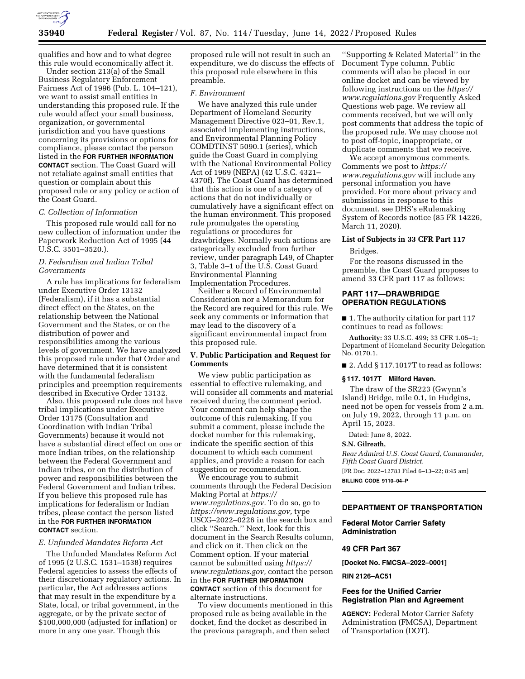

qualifies and how and to what degree this rule would economically affect it.

Under section 213(a) of the Small Business Regulatory Enforcement Fairness Act of 1996 (Pub. L. 104–121), we want to assist small entities in understanding this proposed rule. If the rule would affect your small business, organization, or governmental jurisdiction and you have questions concerning its provisions or options for compliance, please contact the person listed in the **FOR FURTHER INFORMATION CONTACT** section. The Coast Guard will not retaliate against small entities that question or complain about this proposed rule or any policy or action of the Coast Guard.

#### *C. Collection of Information*

This proposed rule would call for no new collection of information under the Paperwork Reduction Act of 1995 (44 U.S.C. 3501–3520.).

# *D. Federalism and Indian Tribal Governments*

A rule has implications for federalism under Executive Order 13132 (Federalism), if it has a substantial direct effect on the States, on the relationship between the National Government and the States, or on the distribution of power and responsibilities among the various levels of government. We have analyzed this proposed rule under that Order and have determined that it is consistent with the fundamental federalism principles and preemption requirements described in Executive Order 13132.

Also, this proposed rule does not have tribal implications under Executive Order 13175 (Consultation and Coordination with Indian Tribal Governments) because it would not have a substantial direct effect on one or more Indian tribes, on the relationship between the Federal Government and Indian tribes, or on the distribution of power and responsibilities between the Federal Government and Indian tribes. If you believe this proposed rule has implications for federalism or Indian tribes, please contact the person listed in the **FOR FURTHER INFORMATION CONTACT** section.

#### *E. Unfunded Mandates Reform Act*

The Unfunded Mandates Reform Act of 1995 (2 U.S.C. 1531–1538) requires Federal agencies to assess the effects of their discretionary regulatory actions. In particular, the Act addresses actions that may result in the expenditure by a State, local, or tribal government, in the aggregate, or by the private sector of \$100,000,000 (adjusted for inflation) or more in any one year. Though this

proposed rule will not result in such an expenditure, we do discuss the effects of this proposed rule elsewhere in this preamble.

## *F. Environment*

We have analyzed this rule under Department of Homeland Security Management Directive 023–01, Rev.1, associated implementing instructions, and Environmental Planning Policy COMDTINST 5090.1 (series), which guide the Coast Guard in complying with the National Environmental Policy Act of 1969 (NEPA) (42 U.S.C. 4321– 4370f). The Coast Guard has determined that this action is one of a category of actions that do not individually or cumulatively have a significant effect on the human environment. This proposed rule promulgates the operating regulations or procedures for drawbridges. Normally such actions are categorically excluded from further review, under paragraph L49, of Chapter 3, Table 3–1 of the U.S. Coast Guard Environmental Planning Implementation Procedures.

Neither a Record of Environmental Consideration nor a Memorandum for the Record are required for this rule. We seek any comments or information that may lead to the discovery of a significant environmental impact from this proposed rule.

## **V. Public Participation and Request for Comments**

We view public participation as essential to effective rulemaking, and will consider all comments and material received during the comment period. Your comment can help shape the outcome of this rulemaking. If you submit a comment, please include the docket number for this rulemaking, indicate the specific section of this document to which each comment applies, and provide a reason for each suggestion or recommendation.

We encourage you to submit comments through the Federal Decision Making Portal at *[https://](https://www.regulations.gov)  [www.regulations.gov.](https://www.regulations.gov)* To do so, go to *[https://www.regulations.gov,](https://www.regulations.gov)* type USCG–2022–0226 in the search box and click ''Search.'' Next, look for this document in the Search Results column, and click on it. Then click on the Comment option. If your material cannot be submitted using *[https://](https://www.regulations.gov) [www.regulations.gov,](https://www.regulations.gov)* contact the person in the **FOR FURTHER INFORMATION CONTACT** section of this document for alternate instructions.

To view documents mentioned in this proposed rule as being available in the docket, find the docket as described in the previous paragraph, and then select

''Supporting & Related Material'' in the Document Type column. Public comments will also be placed in our online docket and can be viewed by following instructions on the *[https://](https://www.regulations.gov) [www.regulations.gov](https://www.regulations.gov)* Frequently Asked Questions web page. We review all comments received, but we will only post comments that address the topic of the proposed rule. We may choose not to post off-topic, inappropriate, or duplicate comments that we receive.

We accept anonymous comments. Comments we post to *[https://](https://www.regulations.gov) [www.regulations.gov](https://www.regulations.gov)* will include any personal information you have provided. For more about privacy and submissions in response to this document, see DHS's eRulemaking System of Records notice (85 FR 14226, March 11, 2020).

### **List of Subjects in 33 CFR Part 117**

Bridges.

For the reasons discussed in the preamble, the Coast Guard proposes to amend 33 CFR part 117 as follows:

## **PART 117—DRAWBRIDGE OPERATION REGULATIONS**

■ 1. The authority citation for part 117 continues to read as follows:

**Authority:** 33 U.S.C. 499; 33 CFR 1.05–1; Department of Homeland Security Delegation No. 0170.1.

■ 2. Add § 117.1017T to read as follows:

## **§ 117. 1017T Milford Haven.**

The draw of the SR223 (Gwynn's Island) Bridge, mile 0.1, in Hudgins, need not be open for vessels from 2 a.m. on July 19, 2022, through 11 p.m. on April 15, 2023.

Dated: June 8, 2022.

#### **S.N. Gilreath,**

*Rear Admiral U.S. Coast Guard, Commander, Fifth Coast Guard District.* 

[FR Doc. 2022–12783 Filed 6–13–22; 8:45 am]

**BILLING CODE 9110–04–P** 

### **DEPARTMENT OF TRANSPORTATION**

# **Federal Motor Carrier Safety Administration**

### **49 CFR Part 367**

**[Docket No. FMCSA–2022–0001]** 

## **RIN 2126–AC51**

## **Fees for the Unified Carrier Registration Plan and Agreement**

**AGENCY:** Federal Motor Carrier Safety Administration (FMCSA), Department of Transportation (DOT).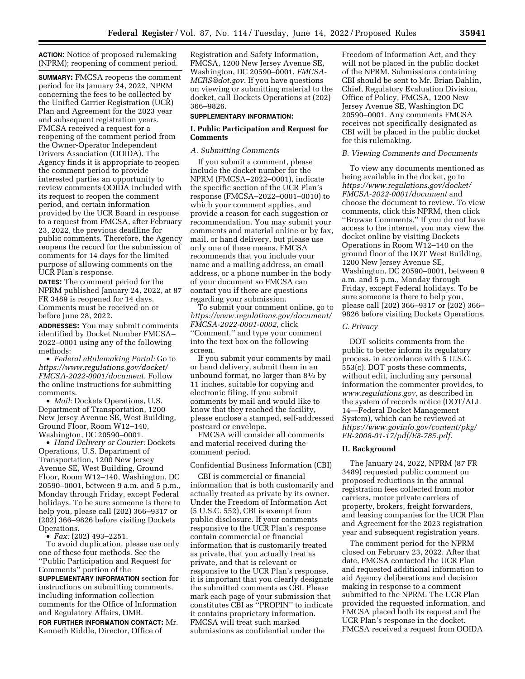**ACTION:** Notice of proposed rulemaking (NPRM); reopening of comment period.

**SUMMARY:** FMCSA reopens the comment period for its January 24, 2022, NPRM concerning the fees to be collected by the Unified Carrier Registration (UCR) Plan and Agreement for the 2023 year and subsequent registration years. FMCSA received a request for a reopening of the comment period from the Owner-Operator Independent Drivers Association (OOIDA). The Agency finds it is appropriate to reopen the comment period to provide interested parties an opportunity to review comments OOIDA included with its request to reopen the comment period, and certain information provided by the UCR Board in response to a request from FMCSA, after February 23, 2022, the previous deadline for public comments. Therefore, the Agency reopens the record for the submission of comments for 14 days for the limited purpose of allowing comments on the UCR Plan's response.

**DATES:** The comment period for the NPRM published January 24, 2022, at 87 FR 3489 is reopened for 14 days. Comments must be received on or before June 28, 2022.

**ADDRESSES:** You may submit comments identified by Docket Number FMCSA– 2022–0001 using any of the following methods:

• *Federal eRulemaking Portal:* Go to *[https://www.regulations.gov/docket/](https://www.regulations.gov/docket/FMCSA-2022-0001/document)  [FMCSA-2022-0001/document.](https://www.regulations.gov/docket/FMCSA-2022-0001/document)* Follow the online instructions for submitting comments.

• *Mail:* Dockets Operations, U.S. Department of Transportation, 1200 New Jersey Avenue SE, West Building, Ground Floor, Room W12–140, Washington, DC 20590–0001.

• *Hand Delivery or Courier:* Dockets Operations, U.S. Department of Transportation, 1200 New Jersey Avenue SE, West Building, Ground Floor, Room W12–140, Washington, DC 20590–0001, between 9 a.m. and 5 p.m., Monday through Friday, except Federal holidays. To be sure someone is there to help you, please call (202) 366–9317 or (202) 366–9826 before visiting Dockets Operations.

• *Fax:* (202) 493–2251.

To avoid duplication, please use only one of these four methods. See the ''Public Participation and Request for Comments'' portion of the

**SUPPLEMENTARY INFORMATION** section for instructions on submitting comments, including information collection comments for the Office of Information and Regulatory Affairs, OMB.

**FOR FURTHER INFORMATION CONTACT:** Mr. Kenneth Riddle, Director, Office of

Registration and Safety Information, FMCSA, 1200 New Jersey Avenue SE, Washington, DC 20590–0001, *[FMCSA-](mailto:FMCSA-MCRS@dot.gov)[MCRS@dot.gov.](mailto:FMCSA-MCRS@dot.gov)* If you have questions on viewing or submitting material to the docket, call Dockets Operations at (202) 366–9826.

### **SUPPLEMENTARY INFORMATION:**

### **I. Public Participation and Request for Comments**

## *A. Submitting Comments*

If you submit a comment, please include the docket number for the NPRM (FMCSA–2022–0001), indicate the specific section of the UCR Plan's response (FMCSA–2022–0001–0010) to which your comment applies, and provide a reason for each suggestion or recommendation. You may submit your comments and material online or by fax, mail, or hand delivery, but please use only one of these means. FMCSA recommends that you include your name and a mailing address, an email address, or a phone number in the body of your document so FMCSA can contact you if there are questions regarding your submission.

To submit your comment online, go to *[https://www.regulations.gov/document/](https://www.regulations.gov/document/FMCSA-2022-0001-0002)  [FMCSA-2022-0001-0002,](https://www.regulations.gov/document/FMCSA-2022-0001-0002)* click ''Comment,'' and type your comment into the text box on the following screen.

If you submit your comments by mail or hand delivery, submit them in an unbound format, no larger than  $8\frac{1}{2}$  by 11 inches, suitable for copying and electronic filing. If you submit comments by mail and would like to know that they reached the facility, please enclose a stamped, self-addressed postcard or envelope.

FMCSA will consider all comments and material received during the comment period.

### Confidential Business Information (CBI)

CBI is commercial or financial information that is both customarily and actually treated as private by its owner. Under the Freedom of Information Act (5 U.S.C. 552), CBI is exempt from public disclosure. If your comments responsive to the UCR Plan's response contain commercial or financial information that is customarily treated as private, that you actually treat as private, and that is relevant or responsive to the UCR Plan's response, it is important that you clearly designate the submitted comments as CBI. Please mark each page of your submission that constitutes CBI as ''PROPIN'' to indicate it contains proprietary information. FMCSA will treat such marked submissions as confidential under the

Freedom of Information Act, and they will not be placed in the public docket of the NPRM. Submissions containing CBI should be sent to Mr. Brian Dahlin, Chief, Regulatory Evaluation Division, Office of Policy, FMCSA, 1200 New Jersey Avenue SE, Washington DC 20590–0001. Any comments FMCSA receives not specifically designated as CBI will be placed in the public docket for this rulemaking.

#### *B. Viewing Comments and Documents*

To view any documents mentioned as being available in the docket, go to *[https://www.regulations.gov/docket/](https://www.regulations.gov/docket/FMCSA-2022-0001/document)  [FMCSA-2022-0001/document](https://www.regulations.gov/docket/FMCSA-2022-0001/document)* and choose the document to review. To view comments, click this NPRM, then click ''Browse Comments.'' If you do not have access to the internet, you may view the docket online by visiting Dockets Operations in Room W12–140 on the ground floor of the DOT West Building, 1200 New Jersey Avenue SE, Washington, DC 20590–0001, between 9 a.m. and 5 p.m., Monday through Friday, except Federal holidays. To be sure someone is there to help you, please call (202) 366–9317 or (202) 366– 9826 before visiting Dockets Operations.

### *C. Privacy*

DOT solicits comments from the public to better inform its regulatory process, in accordance with 5 U.S.C. 553(c). DOT posts these comments, without edit, including any personal information the commenter provides, to *[www.regulations.gov,](http://www.regulations.gov)* as described in the system of records notice (DOT/ALL 14—Federal Docket Management System), which can be reviewed at *[https://www.govinfo.gov/content/pkg/](https://www.govinfo.gov/content/pkg/FR-2008-01-17/pdf/E8-785.pdf) [FR-2008-01-17/pdf/E8-785.pdf.](https://www.govinfo.gov/content/pkg/FR-2008-01-17/pdf/E8-785.pdf)* 

### **II. Background**

The January 24, 2022, NPRM (87 FR 3489) requested public comment on proposed reductions in the annual registration fees collected from motor carriers, motor private carriers of property, brokers, freight forwarders, and leasing companies for the UCR Plan and Agreement for the 2023 registration year and subsequent registration years.

The comment period for the NPRM closed on February 23, 2022. After that date, FMCSA contacted the UCR Plan and requested additional information to aid Agency deliberations and decision making in response to a comment submitted to the NPRM. The UCR Plan provided the requested information, and FMCSA placed both its request and the UCR Plan's response in the docket. FMCSA received a request from OOIDA